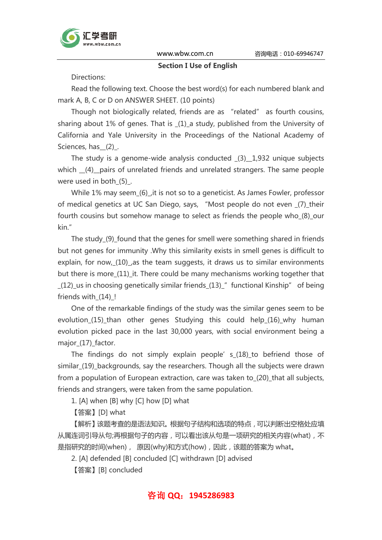

#### Section I Use of English

Directions:

Read the following text. Choose the best word(s) for each numbered blank and mark A, B, C or D on ANSWER SHEET. (10 points)

Though not biologically related, friends are as "related" as fourth cousins, sharing about 1% of genes. That is (1) a study, published from the University of California and Yale University in the Proceedings of the National Academy of Sciences, has (2).

The study is a genome-wide analysis conducted \_(3)\_\_1,932 unique subjects which \_\_(4)\_\_pairs of unrelated friends and unrelated strangers. The same people were used in both (5).

While 1% may seem (6), it is not so to a geneticist. As James Fowler, professor of medical genetics at UC San Diego, says, "Most people do not even \_(7)\_their fourth cousins but somehow manage to select as friends the people who (8) our kin."

The study (9) found that the genes for smell were something shared in friends but not genes for immunity .Why this similarity exists in smell genes is difficult to explain, for now, (10) , as the team suggests, it draws us to similar environments but there is more (11) it. There could be many mechanisms working together that (12) us in choosing genetically similar friends (13)  $''$  functional Kinship" of being friends with (14) !

One of the remarkable findings of the study was the similar genes seem to be evolution\_(15)\_than other genes Studying this could help\_(16)\_why human evolution picked pace in the last 30,000 years, with social environment being a major\_(17)\_factor.

The findings do not simply explain people' s\_(18)\_to befriend those of similar\_(19)\_backgrounds, say the researchers. Though all the subjects were drawn from a population of European extraction, care was taken to\_(20)\_that all subjects, friends and strangers, were taken from the same population.

1. [A] when [B] why [C] how [D] what

【答案】[D] what

【解析】该题考查的是语法知识。根据句子结构和选项的特点,可以判断出空格处应填 从属连词引导从句;再根据句子的内容,可以看出该从句是一项研究的相关内容(what),不 是指研究的时间(when), 原因(why)和方式(how), 因此, 该题的答案为 what。

2. [A] defended [B] concluded [C] withdrawn [D] advised

【答案】[B] concluded

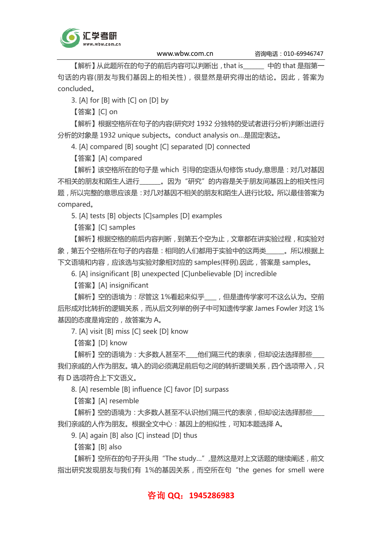

【解析】从此题所在的句子的前后内容可以判断出,that is\_\_\_\_\_\_\_ 中的 that 是指第一 句话的内容(朋友与我们基因上的相关性),很显然是研究得出的结论。因此,答案为 concluded。

3. [A] for [B] with [C] on [D] by

【答案】[C] on

【解析】根据空格所在句子的内容(研究对 1932 分独特的受试者进行分析)判断出进行 分析的对象是 1932 unique subjects。conduct analysis on…是固定表达。

4. [A] compared [B] sought [C] separated [D] connected

【答案】[A] compared

【解析】该空格所在的句子是 which 引导的定语从句修饰 study,意思是:对几对基因 不相关的朋友和陌生人进行\_\_\_\_\_\_\_。因为"研究"的内容是关于朋友间基因上的相关性问 题,所以完整的意思应该是:对几对基因不相关的朋友和陌生人进行比较。所以最佳答案为 compared。

5. [A] tests [B] objects [C]samples [D] examples

【答案】[C] samples

【解析】根据空格的前后内容判断,到第五个空为止,文章都在讲实验过程,和实验对 象,第五个空格所在句子的内容是:相同的人们都用于实验中的这两类\_\_\_\_\_\_。所以根据上 下文语境和内容,应该选与实验对象相对应的 samples(样例).因此,答案是 samples。

6. [A] insignificant [B] unexpected [C]unbelievable [D] incredible

【答案】[A] insignificant

【解析】空的语境为:尽管这 1%看起来似乎\_\_\_\_,但是遗传学家可不这么认为。空前 后形成对比转折的逻辑关系,而从后文列举的例子中可知遗传学家 James Fowler 对这 1% 基因的态度是肯定的,故答案为 A。

7. [A] visit [B] miss [C] seek [D] know

【答案】[D] know

【解析】空的语境为:大多数人甚至不\_\_\_\_他们隔三代的表亲,但却设法选择那些\_\_\_\_ 我们亲戚的人作为朋友。填入的词必须满足前后句之间的转折逻辑关系,四个选项带入,只 有 D 选项符合上下文语义。

8. [A] resemble [B] influence [C] favor [D] surpass

【答案】[A] resemble

【解析】空的语境为:大多数人甚至不认识他们隔三代的表亲,但却设法选择那些 我们亲戚的人作为朋友。根据全文中心:基因上的相似性,可知本题选择 A。

9. [A] again [B] also [C] instead [D] thus

【答案】[B] also

【解析】空所在的句子开头用"The study…",显然这是对上文话题的继续阐述,前文 指出研究发现朋友与我们有 1%的基因关系,而空所在句"the genes for smell were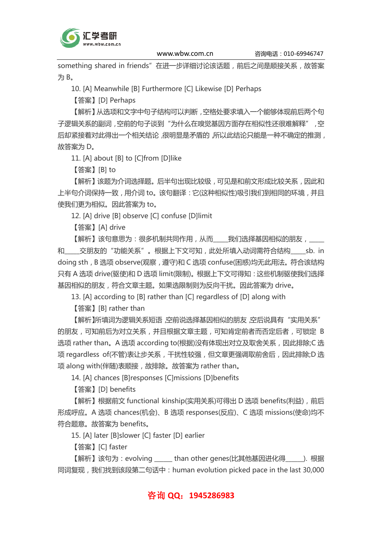

something shared in friends"在进一步详细讨论该话题, 前后之间是顺接关系, 故答案 为 B。

10. [A] Meanwhile [B] Furthermore [C] Likewise [D] Perhaps

【答案】[D] Perhaps

【解析】从选项和文字中句子结构可以判断,空格处要求填入一个能够体现前后两个句 子逻辑关系的副词,空前的句子谈到"为什么在嗅觉基因方面存在相似性还很难解释",空 后却紧接着对此得出一个相关结论,很明显是矛盾的,所以此结论只能是一种不确定的推测, 故答案为 D。

11. [A] about [B] to [C]from [D]like

【答案】[B] to

【解析】该题为介词选择题。后半句出现比较级,可见是和前文形成比较关系,因此和 上半句介词保持一致,用介词 to。该句翻译:它(这种相似性)吸引我们到相同的环境,并且 使我们更为相似。因此答案为 to。

12. [A] drive [B] observe [C] confuse [D]limit

【答案】[A] drive

【解析】该句意思为:很多机制共同作用,从而\_\_\_\_\_我们选择基因相似的朋友,\_\_\_\_\_

和\_\_\_\_\_交朋友的"功能关系"。根据上下文可知,此处所填入动词需符合结构 sb. in doing sth, B 选项 observe(观察, 遵守)和 C 选项 confuse(困惑)均无此用法。符合该结构 只有 A 选项 drive(驱使)和 D 选项 limit(限制)。根据上下文可得知:这些机制驱使我们选择 基因相似的朋友,符合文章主题。如果选限制则为反向干扰。因此答案为 drive。

13. [A] according to [B] rather than [C] regardless of [D] along with

【答案】[B] rather than

【解析】所填词为逻辑关系短语,空前说选择基因相似的朋友,空后说具有"实用关系" 的朋友,可知前后为对立关系,并且根据文章主题,可知肯定前者而否定后者,可锁定 B 选项 rather than。A 选项 according to(根据)没有体现出对立及取舍关系,因此排除;C 选 项 regardless of(不管)表让步关系,干扰性较强,但文章更强调取前舍后,因此排除;D 选 项 along with(伴随)表顺接,故排除。故答案为 rather than。

14. [A] chances [B]responses [C]missions [D]benefits

【答案】[D] benefits

【解析】根据前文 functional kinship(实用关系)可得出 D 选项 benefits(利益),前后 形成呼应。A 选项 chances(机会)、B 选项 responses(反应)、C 选项 missions(使命)均不 符合题意。故答案为 benefits。

15. [A] later [B]slower [C] faster [D] earlier

【答案】[C] faster

【解析】该句为:evolving \_\_\_\_\_\_ than other genes(比其他基因进化得\_\_\_\_\_\_). 根据 同词复现,我们找到该段第二句话中:human evolution picked pace in the last 30,000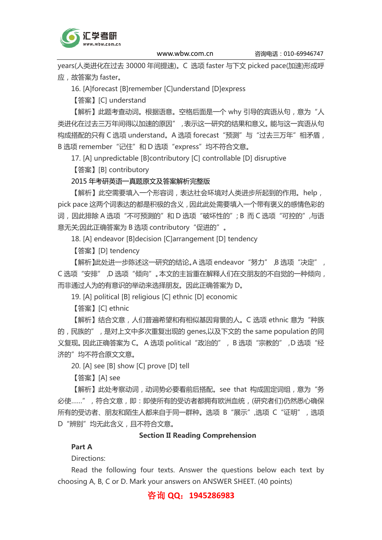

years(人类进化在过去 30000 年间提速)。C 选项 faster 与下文 picked pace(加速)形成呼 应,故答案为 faster。

16. [A]forecast [B]remember [C]understand [D]express

【答案】[C] understand

【解析】此题考查动词。根据语意。空格后面是一个 why 引导的宾语从句, 意为"人 类进化在过去三万年间得以加速的原因",表示这一研究的结果和意义。能与这一宾语从句 构成搭配的只有 C 选项 understand。A 选项 forecast "预测"与"过去三万年"相矛盾, B 选项 remember "记住"和 D 选项 "express"均不符合文意。

17. [A] unpredictable [B]contributory [C] controllable [D] disruptive

【答案】[B] contributory

#### 2015 年考研英语一真题原文及答案解析完整版

【解析】此空需要填入一个形容词,表达社会环境对人类进步所起到的作用。help, pick pace 这两个词表达的都是积极的含义,因此此处需要填入一个带有褒义的感情色彩的 词,因此排除 A 选项"不可预测的"和 D 选项"破坏性的"; B 而 C 选项"可控的",与语 意无关;因此正确答案为 B 选项 contributory "促进的"。

18. [A] endeavor [B]decision [C]arrangement [D] tendency

【答案】[D] tendency

【解析】此处进一步陈述这一研究的结论。A 选项 endeavor "努力",B 选项 "决定", C 选项"安排",D 选项"倾向"。本文的主旨重在解释人们在交朋友的不自觉的一种倾向, 而非通过人为的有意识的举动来选择朋友。因此正确答案为 D。

19. [A] political [B] religious [C] ethnic [D] economic

【答案】[C] ethnic

【解析】结合文意,人们普遍希望和有相似基因背景的人。C 选项 ethnic 意为"种族 的, 民族的", 是对上文中多次重复出现的 genes,以及下文的 the same population 的同 义复现。因此正确答案为 C。 A 选项 political "政治的", B 选项"宗教的", D 选项"经 济的"均不符合原文文意。

20. [A] see [B] show [C] prove [D] tell

【答案】[A] see

【解析】此处考察动词,动词势必要看前后搭配。see that 构成固定词组,意为"务 必使……",符合文意,即:即使所有的受访者都拥有欧洲血统,(研究者们)仍然悉心确保 所有的受访者、朋友和陌生人都来自于同一群种。选项 B"展示",选项 C"证明",选项 D"辨别"均无此含义,且不符合文意。

#### Section II Reading Comprehension

Part A

Directions:

Read the following four texts. Answer the questions below each text by choosing A, B, C or D. Mark your answers on ANSWER SHEET. (40 points)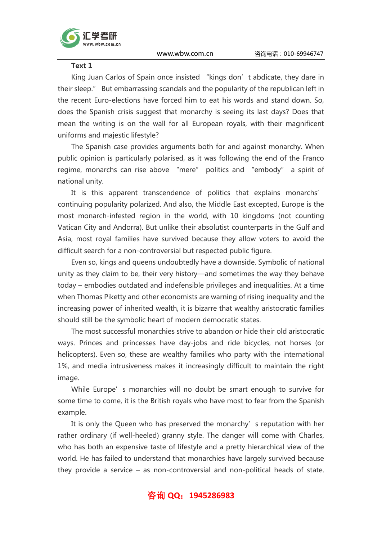



King Juan Carlos of Spain once insisted "kings don't abdicate, they dare in their sleep." But embarrassing scandals and the popularity of the republican left in the recent Euro-elections have forced him to eat his words and stand down. So, does the Spanish crisis suggest that monarchy is seeing its last days? Does that mean the writing is on the wall for all European royals, with their magnificent uniforms and majestic lifestyle?

The Spanish case provides arguments both for and against monarchy. When public opinion is particularly polarised, as it was following the end of the Franco regime, monarchs can rise above "mere" politics and "embody" a spirit of national unity.

It is this apparent transcendence of politics that explains monarchs' continuing popularity polarized. And also, the Middle East excepted, Europe is the most monarch-infested region in the world, with 10 kingdoms (not counting Vatican City and Andorra). But unlike their absolutist counterparts in the Gulf and Asia, most royal families have survived because they allow voters to avoid the difficult search for a non-controversial but respected public figure.

Even so, kings and queens undoubtedly have a downside. Symbolic of national unity as they claim to be, their very history—and sometimes the way they behave today – embodies outdated and indefensible privileges and inequalities. At a time when Thomas Piketty and other economists are warning of rising inequality and the increasing power of inherited wealth, it is bizarre that wealthy aristocratic families should still be the symbolic heart of modern democratic states.

The most successful monarchies strive to abandon or hide their old aristocratic ways. Princes and princesses have day-jobs and ride bicycles, not horses (or helicopters). Even so, these are wealthy families who party with the international 1%, and media intrusiveness makes it increasingly difficult to maintain the right image.

While Europe's monarchies will no doubt be smart enough to survive for some time to come, it is the British royals who have most to fear from the Spanish example.

It is only the Queen who has preserved the monarchy's reputation with her rather ordinary (if well-heeled) granny style. The danger will come with Charles, who has both an expensive taste of lifestyle and a pretty hierarchical view of the world. He has failed to understand that monarchies have largely survived because they provide a service – as non-controversial and non-political heads of state.

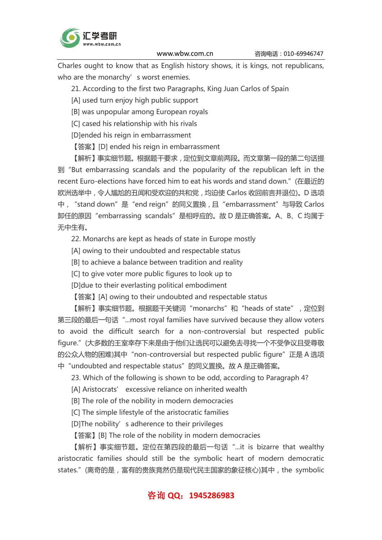

Charles ought to know that as English history shows, it is kings, not republicans, who are the monarchy's worst enemies.

21. According to the first two Paragraphs, King Juan Carlos of Spain

[A] used turn enjoy high public support

[B] was unpopular among European royals

[C] cased his relationship with his rivals

[D]ended his reign in embarrassment

【答案】[D] ended his reign in embarrassment

【解析】事实细节题。根据题干要求,定位到文章前两段。而文章第一段的第二句话提 到"But embarrassing scandals and the popularity of the republican left in the recent Euro-elections have forced him to eat his words and stand down."(在最近的 欧洲选举中,令人尴尬的丑闻和受欢迎的共和党,均迫使 Carlos 收回前言并退位)。D 选项 中, "stand down"是 "end reign"的同义置换,且 "embarrassment"与导致 Carlos 卸任的原因"embarrassing scandals"是相呼应的。故 D 是正确答案。A、B、C 均属于 无中生有。

22. Monarchs are kept as heads of state in Europe mostly

[A] owing to their undoubted and respectable status

[B] to achieve a balance between tradition and reality

[C] to give voter more public figures to look up to

[D]due to their everlasting political embodiment

【答案】[A] owing to their undoubted and respectable status

【解析】事实细节题。根据题干关键词"monarchs"和"heads of state", 定位到 第三段的最后一句话"...most royal families have survived because they allow voters to avoid the difficult search for a non-controversial but respected public figure."(大多数的王室幸存下来是由于他们让选民可以避免去寻找一个不受争议且受尊敬 的公众人物的困难)其中"non-controversial but respected public figure"正是 A 选项 中 "undoubted and respectable status" 的同义置换。故 A 是正确答案。

23. Which of the following is shown to be odd, according to Paragraph 4?

[A] Aristocrats' excessive reliance on inherited wealth

[B] The role of the nobility in modern democracies

[C] The simple lifestyle of the aristocratic families

[D]The nobility's adherence to their privileges

【答案】[B] The role of the nobility in modern democracies

【解析】事实细节题。定位在第四段的最后一句话"...it is bizarre that wealthy aristocratic families should still be the symbolic heart of modern democratic states." (离奇的是, 富有的贵族竟然仍是现代民主国家的象征核心)其中, the symbolic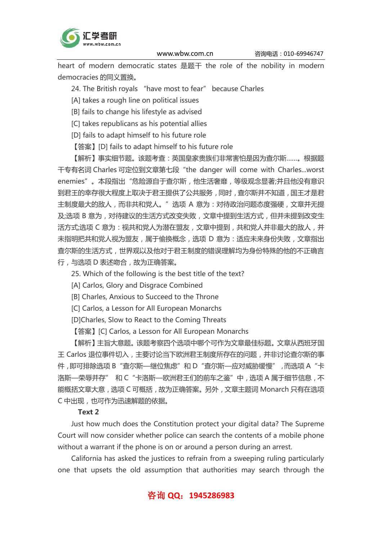

heart of modern democratic states 是题干 the role of the nobility in modern democracies 的同义置换。

- 24. The British royals "have most to fear" because Charles
- [A] takes a rough line on political issues
- [B] fails to change his lifestyle as advised
- [C] takes republicans as his potential allies
- [D] fails to adapt himself to his future role
- 【答案】[D] fails to adapt himself to his future role

【解析】事实细节题。该题考查:英国皇家贵族们非常害怕是因为查尔斯……。根据题 干专有名词 Charles 可定位到文章第七段"the danger will come with Charles...worst enemies"。本段指出"危险源自于查尔斯,他生活奢靡,等级观念显著;并且他没有意识 到君王的幸存很大程度上取决于君王提供了公共服务,同时,查尔斯并不知道,国王才是君 主制度最大的敌人,而非共和党人。"选项 A 意为:对待政治问题态度强硬,文章并无提 及;选项 B 意为, 对待建议的生活方式改变失败, 文章中提到生活方式, 但并未提到改变生 活方式;选项 C 意为:视共和党人为潜在盟友,文章中提到,共和党人并非最大的敌人,并 未指明把共和党人视为盟友,属于偷换概念,选项 D 意为:适应未来身份失败,文章指出 查尔斯的生活方式,世界观以及他对于君王制度的错误理解均为身份特殊的他的不正确言 行,与选项 D 表述吻合,故为正确答案。

- 25. Which of the following is the best title of the text?
- [A] Carlos, Glory and Disgrace Combined
- [B] Charles, Anxious to Succeed to the Throne
- [C] Carlos, a Lesson for All European Monarchs
- [D]Charles, Slow to React to the Coming Threats

【答案】[C] Carlos, a Lesson for All European Monarchs

【解析】主旨大意题。该题考察四个选项中哪个可作为文章最佳标题。文章从西班牙国 王 Carlos 退位事件切入,主要讨论当下欧洲君王制度所存在的问题,并非讨论查尔斯的事 件,即可排除选项 B "查尔斯—继位焦虑"和 D "查尔斯—应对威胁缓慢",而选项 A "卡 洛斯—荣辱并存" 和 C "卡洛斯—欧洲君王们的前车之鉴"中, 选项 A 属于细节信息, 不 能概括文章大意,选项 C 可概括,故为正确答案。另外,文章主题词 Monarch 只有在选项 C 中出现,也可作为迅速解题的依据。

#### Text 2

Just how much does the Constitution protect your digital data? The Supreme Court will now consider whether police can search the contents of a mobile phone without a warrant if the phone is on or around a person during an arrest.

California has asked the justices to refrain from a sweeping ruling particularly one that upsets the old assumption that authorities may search through the

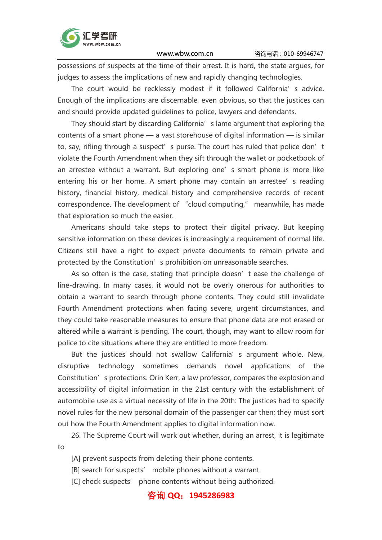

possessions of suspects at the time of their arrest. It is hard, the state argues, for judges to assess the implications of new and rapidly changing technologies.

The court would be recklessly modest if it followed California's advice. Enough of the implications are discernable, even obvious, so that the justices can and should provide updated guidelines to police, lawyers and defendants.

They should start by discarding California's lame argument that exploring the contents of a smart phone — a vast storehouse of digital information — is similar to, say, rifling through a suspect's purse. The court has ruled that police don't violate the Fourth Amendment when they sift through the wallet or pocketbook of an arrestee without a warrant. But exploring one's smart phone is more like entering his or her home. A smart phone may contain an arrestee's reading history, financial history, medical history and comprehensive records of recent correspondence. The development of "cloud computing," meanwhile, has made that exploration so much the easier.

Americans should take steps to protect their digital privacy. But keeping sensitive information on these devices is increasingly a requirement of normal life. Citizens still have a right to expect private documents to remain private and protected by the Constitution's prohibition on unreasonable searches.

As so often is the case, stating that principle doesn't ease the challenge of line-drawing. In many cases, it would not be overly onerous for authorities to obtain a warrant to search through phone contents. They could still invalidate Fourth Amendment protections when facing severe, urgent circumstances, and they could take reasonable measures to ensure that phone data are not erased or altered while a warrant is pending. The court, though, may want to allow room for police to cite situations where they are entitled to more freedom.

But the justices should not swallow California's argument whole. New, disruptive technology sometimes demands novel applications of the Constitution's protections. Orin Kerr, a law professor, compares the explosion and accessibility of digital information in the 21st century with the establishment of automobile use as a virtual necessity of life in the 20th: The justices had to specify novel rules for the new personal domain of the passenger car then; they must sort out how the Fourth Amendment applies to digital information now.

26. The Supreme Court will work out whether, during an arrest, it is legitimate to

[A] prevent suspects from deleting their phone contents.

[B] search for suspects' mobile phones without a warrant.

[C] check suspects' phone contents without being authorized.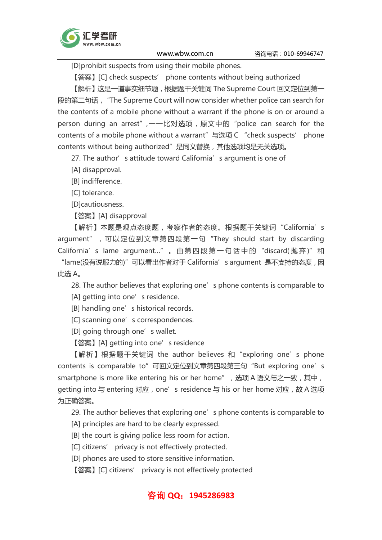

[D]prohibit suspects from using their mobile phones.

【答案】[C] check suspects' phone contents without being authorized

【解析】这是一道事实细节题,根据题干关键词 The Supreme Court 回文定位到第一 段的第二句话,"The Supreme Court will now consider whether police can search for the contents of a mobile phone without a warrant if the phone is on or around a person during an arrest",一一比对选项,原文中的"police can search for the contents of a mobile phone without a warrant" 与选项 C "check suspects' phone contents without being authorized"是同义替换,其他选项均是无关选项。

27. The author's attitude toward California's argument is one of

[A] disapproval.

[B] indifference.

[C] tolerance.

[D]cautiousness.

【答案】[A] disapproval

【解析】本题是观点态度题,考察作者的态度。根据题干关键词"California's argument", 可以定位到文章第四段第一句 "They should start by discarding California's lame argument..." 。由第四段第一句话中的 "discard( 抛弃)" 和 "lame(没有说服力的)"可以看出作者对于 California's argument 是不支持的态度,因

此选 A。

28. The author believes that exploring one's phone contents is comparable to [A] getting into one's residence.

[B] handling one's historical records.

[C] scanning one's correspondences.

[D] going through one's wallet.

【答案】[A] getting into one's residence

【解析】根据题干关键词 the author believes 和"exploring one's phone contents is comparable to" 可回文定位到文章第四段第三句 "But exploring one's smartphone is more like entering his or her home", 选项 A 语义与之一致, 其中, getting into 与 entering 对应, one's residence 与 his or her home 对应,故 A 选项 为正确答案。

29. The author believes that exploring one's phone contents is comparable to

[A] principles are hard to be clearly expressed.

[B] the court is giving police less room for action.

[C] citizens' privacy is not effectively protected.

[D] phones are used to store sensitive information.

【答案】[C] citizens' privacy is not effectively protected

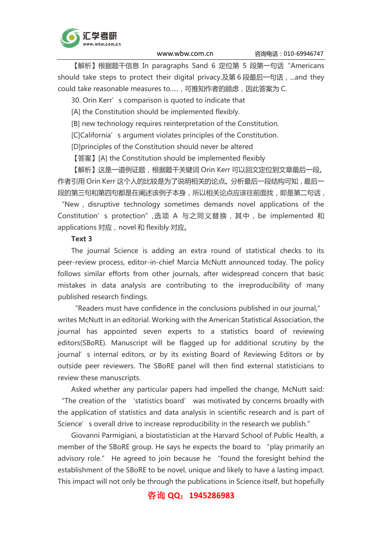

【解析】根据题干信息 In paragraphs 5and 6 定位第 5 段第一句话"Americans should take steps to protect their digital privacy.及第6段最后一句话, ...and they could take reasonable measures to.....,可推知作者的顾虑,因此答案为 C.

30. Orin Kerr's comparison is quoted to indicate that

[A] the Constitution should be implemented flexibly.

[B] new technology requires reinterpretation of the Constitution.

[C]California's argument violates principles of the Constitution.

[D]principles of the Constitution should never be altered

【答案】[A] the Constitution should be implemented flexibly

【解析】这是一道例证题,根据题干关键词 Orin Kerr 可以回文定位到文章最后一段。 作者引用 Orin Kerr 这个人的比较是为了说明相关的论点。分析最后一段结构可知,最后一 段的第三句和第四句都是在阐述该例子本身,所以相关论点应该往前面找,即是第二句话, "New, disruptive technology sometimes demands novel applications of the Constitution's protection",选项 A 与之同义替换,其中,be implemented 和 applications 对应, novel 和 flexibly 对应。

#### Text 3

The journal Science is adding an extra round of statistical checks to its peer-review process, editor-in-chief Marcia McNutt announced today. The policy follows similar efforts from other journals, after widespread concern that basic mistakes in data analysis are contributing to the irreproducibility of many published research findings.

"Readers must have confidence in the conclusions published in our journal," writes McNutt in an editorial. Working with the American Statistical Association, the journal has appointed seven experts to a statistics board of reviewing editors(SBoRE). Manuscript will be flagged up for additional scrutiny by the journal' s internal editors, or by its existing Board of Reviewing Editors or by outside peer reviewers. The SBoRE panel will then find external statisticians to review these manuscripts.

Asked whether any particular papers had impelled the change, McNutt said: "The creation of the 'statistics board' was motivated by concerns broadly with the application of statistics and data analysis in scientific research and is part of Science's overall drive to increase reproducibility in the research we publish."

Giovanni Parmigiani, a biostatistician at the Harvard School of Public Health, a member of the SBoRE group. He says he expects the board to "play primarily an advisory role." He agreed to join because he "found the foresight behind the establishment of the SBoRE to be novel, unique and likely to have a lasting impact. This impact will not only be through the publications in Science itself, but hopefully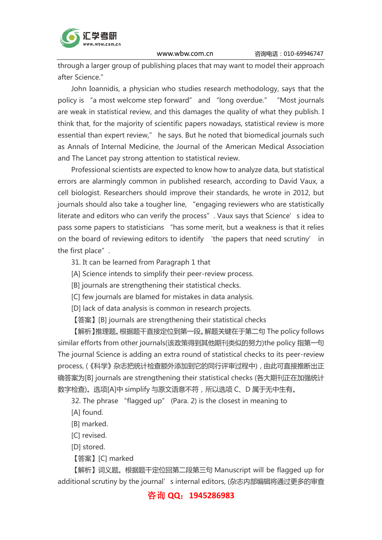

through a larger group of publishing places that may want to model their approach after Science."

John Ioannidis, a physician who studies research methodology, says that the policy is "a most welcome step forward" and "long overdue." "Most journals are weak in statistical review, and this damages the quality of what they publish. I think that, for the majority of scientific papers nowadays, statistical review is more essential than expert review," he says. But he noted that biomedical journals such as Annals of Internal Medicine, the Journal of the American Medical Association and The Lancet pay strong attention to statistical review.

Professional scientists are expected to know how to analyze data, but statistical errors are alarmingly common in published research, according to David Vaux, a cell biologist. Researchers should improve their standards, he wrote in 2012, but journals should also take a tougher line, "engaging reviewers who are statistically literate and editors who can verify the process". Vaux says that Science's idea to pass some papers to statisticians "has some merit, but a weakness is that it relies on the board of reviewing editors to identify 'the papers that need scrutiny' in the first place".

31. It can be learned from Paragraph 1 that

- [A] Science intends to simplify their peer-review process.
- [B] journals are strengthening their statistical checks.
- [C] few journals are blamed for mistakes in data analysis.
- [D] lack of data analysis is common in research projects.
- 【答案】[B] journals are strengthening their statistical checks

【解析】推理题。根据题干直接定位到第一段。解题关键在于第二句 The policy follows similar efforts from other journals(该政策得到其他期刊类似的努力)the policy 指第一句 The journal Science is adding an extra round of statistical checks to its peer-review process, (《科学》杂志把统计检查额外添加到它的同行评审过程中), 由此可直接推断出正 确答案为[B] journals are strengthening their statistical checks (各大期刊正在加强统计 数字检查)。选项[A]中 simplify 与原文语意不符,所以选项 C、D 属于无中生有。

32. The phrase "flagged up" (Para. 2) is the closest in meaning to

[A] found.

- [B] marked.
- [C] revised.

[D] stored.

【答案】[C] marked

【解析】词义题。根据题干定位回第二段第三句 Manuscript will be flagged up for additional scrutiny by the journal' s internal editors, (杂志内部编辑将通过更多的审查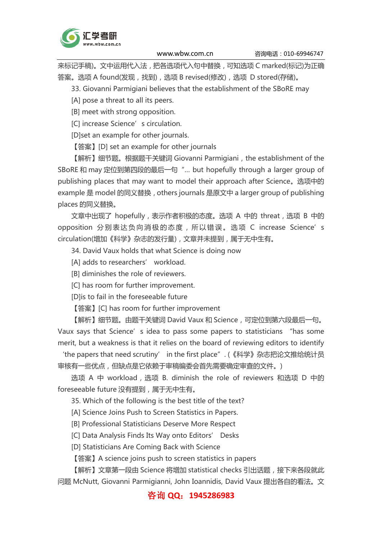

来标记手稿)。文中运用代入法,把各选项代入句中替换,可知选项 C marked(标记)为正确 答案。选项 A found(发现,找到),选项 B revised(修改),选项 D stored(存储)。

33. Giovanni Parmigiani believes that the establishment of the SBoRE may

[A] pose a threat to all its peers.

[B] meet with strong opposition.

[C] increase Science's circulation.

[D]set an example for other journals.

【答案】[D] set an example for other journals

【解析】细节题。根据题干关键词 Giovanni Parmigiani, the establishment of the SBoRE 和 may 定位到第四段的最后一句"… but hopefully through a larger group of publishing places that may want to model their approach after Science。选项中的 example 是 model 的同义替换, others journals 是原文中 a larger group of publishing places 的同义替换。

文章中出现了 hopefully, 表示作者积极的态度。选项 A 中的 threat, 选项 B 中的 opposition 分别表达负向消极的态度, 所以错误。选项 C increase Science's circulation(增加《科学》杂志的发行量),文章并未提到,属于无中生有。

34. David Vaux holds that what Science is doing now

[A] adds to researchers' workload.

[B] diminishes the role of reviewers.

[C] has room for further improvement.

[D]is to fail in the foreseeable future

【答案】[C] has room for further improvement

【解析】细节题。由题干关键词 David Vaux 和 Science,可定位到第六段最后一句。 Vaux says that Science's idea to pass some papers to statisticians "has some merit, but a weakness is that it relies on the board of reviewing editors to identify

'the papers that need scrutiny' in the first place". (《科学》杂志把论文推给统计员 审核有一些优点,但缺点是它依赖于审稿编委会首先需要确定审查的文件。)

选项 A 中 workload,选项 B. diminish the role of reviewers 和选项 D 中的 foreseeable future 没有提到,属于无中生有。

35. Which of the following is the best title of the text?

[A] Science Joins Push to Screen Statistics in Papers.

[B] Professional Statisticians Deserve More Respect

[C] Data Analysis Finds Its Way onto Editors' Desks

[D] Statisticians Are Coming Back with Science

【答案】A science joins push to screen statistics in papers

【解析】文章第一段由 Science 将增加 statistical checks 引出话题,接下来各段就此 问题 McNutt, Giovanni Parmigianni, John Ioannidis, David Vaux 提出各自的看法。文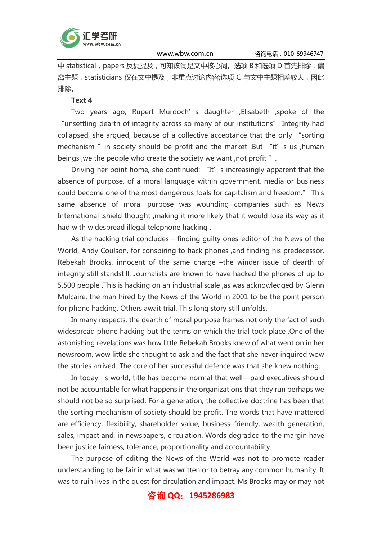

中 statistical, papers 反复提及,可知该词是文中核心词。选项 B 和选项 D 首先排除, 偏 离主题,statisticians 仅在文中提及,非重点讨论内容;选项 C 与文中主题相差较大,因此 排除。

#### Text 4

Two years ago, Rupert Murdoch's daughter ,Elisabeth ,spoke of the "unsettling dearth of integrity across so many of our institutions" Integrity had collapsed, she argued, because of a collective acceptance that the only "sorting mechanism " in society should be profit and the market .But "it' s us ,human beings, we the people who create the society we want, not profit ".

Driving her point home, she continued: "It' s increasingly apparent that the absence of purpose, of a moral language within government, media or business could become one of the most dangerous foals for capitalism and freedom." This same absence of moral purpose was wounding companies such as News International ,shield thought ,making it more likely that it would lose its way as it had with widespread illegal telephone hacking .

As the hacking trial concludes – finding guilty ones-editor of the News of the World, Andy Coulson, for conspiring to hack phones ,and finding his predecessor, Rebekah Brooks, innocent of the same charge –the winder issue of dearth of integrity still standstill, Journalists are known to have hacked the phones of up to 5,500 people .This is hacking on an industrial scale ,as was acknowledged by Glenn Mulcaire, the man hired by the News of the World in 2001 to be the point person for phone hacking. Others await trial. This long story still unfolds.

In many respects, the dearth of moral purpose frames not only the fact of such widespread phone hacking but the terms on which the trial took place .One of the astonishing revelations was how little Rebekah Brooks knew of what went on in her newsroom, wow little she thought to ask and the fact that she never inquired wow the stories arrived. The core of her successful defence was that she knew nothing.

In today's world, title has become normal that well-paid executives should not be accountable for what happens in the organizations that they run perhaps we should not be so surprised. For a generation, the collective doctrine has been that the sorting mechanism of society should be profit. The words that have mattered are efficiency, flexibility, shareholder value, business–friendly, wealth generation, sales, impact and, in newspapers, circulation. Words degraded to the margin have been justice fairness, tolerance, proportionality and accountability.

The purpose of editing the News of the World was not to promote reader understanding to be fair in what was written or to betray any common humanity. It was to ruin lives in the quest for circulation and impact. Ms Brooks may or may not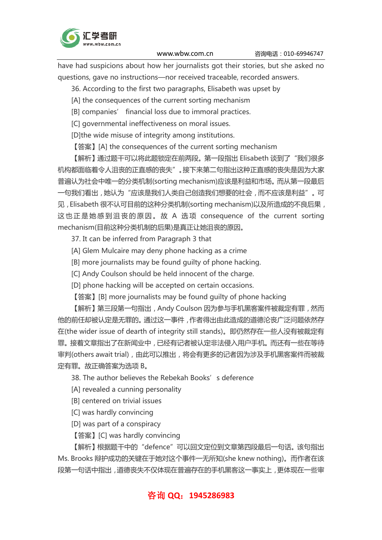

have had suspicions about how her journalists got their stories, but she asked no questions, gave no instructions—nor received traceable, recorded answers.

36. According to the first two paragraphs, Elisabeth was upset by

[A] the consequences of the current sorting mechanism

[B] companies' financial loss due to immoral practices.

[C] governmental ineffectiveness on moral issues.

[D]the wide misuse of integrity among institutions.

【答案】[A] the consequences of the current sorting mechanism

【解析】通过题干可以将此题锁定在前两段。第一段指出 Elisabeth 谈到了"我们很多 机构都面临着令人沮丧的正直感的丧失"。接下来第二句指出这种正直感的丧失是因为大家 普遍认为社会中唯一的分类机制(sorting mechanism)应该是利益和市场。而从第一段最后 一句我们看出,她认为"应该是我们人类自己创造我们想要的社会,而不应该是利益"。可 见, Elisabeth 很不认可目前的这种分类机制(sorting mechanism)以及所造成的不良后果, 这也正是她感到沮丧的原因。故 A 选项 consequence of the current sorting mechanism(目前这种分类机制的后果)是真正让她沮丧的原因。

37. It can be inferred from Paragraph 3 that

[A] Glem Mulcaire may deny phone hacking as a crime

[B] more journalists may be found guilty of phone hacking.

[C] Andy Coulson should be held innocent of the charge.

[D] phone hacking will be accepted on certain occasions.

【答案】[B] more journalists may be found quilty of phone hacking

【解析】第三段第一句指出,Andy Coulson 因为参与手机黑客案件被裁定有罪,然而 他的前任却被认定是无罪的。通过这一事件,作者得出由此造成的道德沦丧广泛问题依然存 在(the wider issue of dearth of integrity still stands)。即仍然存在一些人没有被裁定有 罪。接着文章指出了在新闻业中,已经有记者被认定非法侵入用户手机。而还有一些在等待 审判(others await trial),由此可以推出,将会有更多的记者因为涉及手机黑客案件而被裁 定有罪。故正确答案为选项 B。

38. The author believes the Rebekah Books's deference

[A] revealed a cunning personality

[B] centered on trivial issues

[C] was hardly convincing

[D] was part of a conspiracy

【答案】[C] was hardly convincing

【解析】根据题干中的"defence"可以回文定位到文章第四段最后一句话。该句指出 Ms. Brooks 辩护成功的关键在于她对这个事件一无所知(she knew nothing)。而作者在该 段第一句话中指出,道德丧失不仅体现在普遍存在的手机黑客这一事实上,更体现在一些审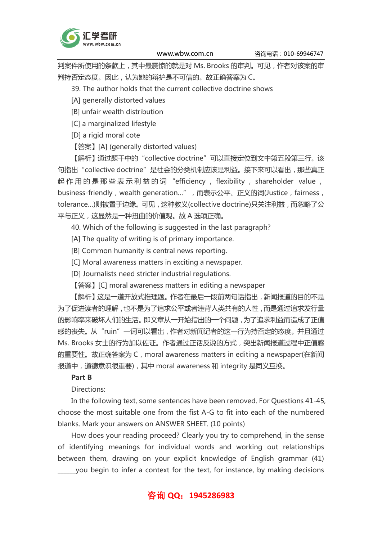

判案件所使用的条款上,其中最震惊的就是对 Ms. Brooks 的审判。可见,作者对该案的审 判持否定态度。因此,认为她的辩护是不可信的。故正确答案为 C。

39. The author holds that the current collective doctrine shows

[A] generally distorted values

[B] unfair wealth distribution

[C] a marginalized lifestyle

[D] a rigid moral cote

【答案】[A] (generally distorted values)

【解析】通过题干中的"collective doctrine"可以直接定位到文中第五段第三行。该 句指出"collective doctrine"是社会的分类机制应该是利益。接下来可以看出,那些真正 起 作 用 的 是 那 些 表 示 利 益 的 词 "efficiency , flexibility , shareholder value , business-friendly, wealth generation...",而表示公平、正义的词(Justice, fairness, tolerance…)则被置于边缘。可见,这种教义(collective doctrine)只关注利益,而忽略了公 平与正义,这显然是一种扭曲的价值观。故 A 选项正确。

40. Which of the following is suggested in the last paragraph?

[A] The quality of writing is of primary importance.

[B] Common humanity is central news reporting.

[C] Moral awareness matters in exciting a newspaper.

[D] Journalists need stricter industrial regulations.

【答案】[C] moral awareness matters in editing a newspaper

【解析】这是一道开放式推理题。作者在最后一段前两句话指出,新闻报道的目的不是 为了促进读者的理解,也不是为了追求公平或者违背人类共有的人性,而是通过追求发行量 的影响率来破坏人们的生活。即文章从一开始指出的一个问题,为了追求利益而造成了正值 感的丧失。从"ruin"一词可以看出,作者对新闻记者的这一行为持否定的态度。并且通过 Ms. Brooks 女士的行为加以佐证。作者通过正话反说的方式,突出新闻报道过程中正值感 的重要性。故正确答案为 C, moral awareness matters in editing a newspaper(在新闻 报道中,道德意识很重要),其中 moral awareness 和 integrity 是同义互换。

### Part B

Directions:

In the following text, some sentences have been removed. For Questions 41-45, choose the most suitable one from the fist A-G to fit into each of the numbered blanks. Mark your answers on ANSWER SHEET. (10 points)

How does your reading proceed? Clearly you try to comprehend, in the sense of identifying meanings for individual words and working out relationships between them, drawing on your explicit knowledge of English grammar (41) \_\_\_\_\_\_you begin to infer a context for the text, for instance, by making decisions

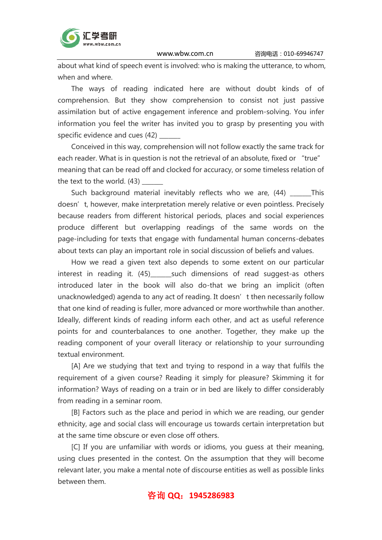

about what kind of speech event is involved: who is making the utterance, to whom, when and where.

The ways of reading indicated here are without doubt kinds of of comprehension. But they show comprehension to consist not just passive assimilation but of active engagement inference and problem-solving. You infer information you feel the writer has invited you to grasp by presenting you with specific evidence and cues (42)

Conceived in this way, comprehension will not follow exactly the same track for each reader. What is in question is not the retrieval of an absolute, fixed or "true" meaning that can be read off and clocked for accuracy, or some timeless relation of the text to the world. (43)

Such background material inevitably reflects who we are, (44) This doesn't, however, make interpretation merely relative or even pointless. Precisely because readers from different historical periods, places and social experiences produce different but overlapping readings of the same words on the page-including for texts that engage with fundamental human concerns-debates about texts can play an important role in social discussion of beliefs and values.

How we read a given text also depends to some extent on our particular interest in reading it. (45) such dimensions of read suggest-as others introduced later in the book will also do-that we bring an implicit (often unacknowledged) agenda to any act of reading. It doesn't then necessarily follow that one kind of reading is fuller, more advanced or more worthwhile than another. Ideally, different kinds of reading inform each other, and act as useful reference points for and counterbalances to one another. Together, they make up the reading component of your overall literacy or relationship to your surrounding textual environment.

[A] Are we studying that text and trying to respond in a way that fulfils the requirement of a given course? Reading it simply for pleasure? Skimming it for information? Ways of reading on a train or in bed are likely to differ considerably from reading in a seminar room.

[B] Factors such as the place and period in which we are reading, our gender ethnicity, age and social class will encourage us towards certain interpretation but at the same time obscure or even close off others.

[C] If you are unfamiliar with words or idioms, you guess at their meaning, using clues presented in the contest. On the assumption that they will become relevant later, you make a mental note of discourse entities as well as possible links between them.

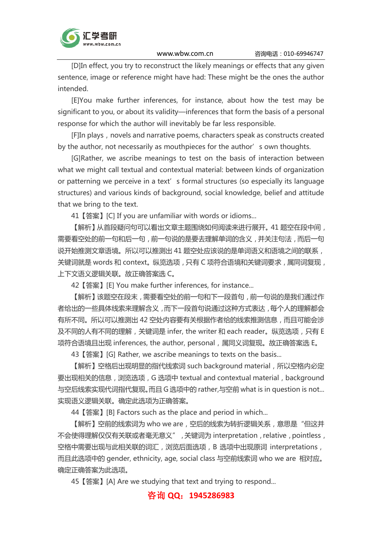

[D]In effect, you try to reconstruct the likely meanings or effects that any given sentence, image or reference might have had: These might be the ones the author intended.

[E]You make further inferences, for instance, about how the test may be significant to you, or about its validity—inferences that form the basis of a personal response for which the author will inevitably be far less responsible.

[F]In plays, novels and narrative poems, characters speak as constructs created by the author, not necessarily as mouthpieces for the author's own thoughts.

[G]Rather, we ascribe meanings to test on the basis of interaction between what we might call textual and contextual material: between kinds of organization or patterning we perceive in a text's formal structures (so especially its language structures) and various kinds of background, social knowledge, belief and attitude that we bring to the text.

41【答案】[C] If you are unfamiliar with words or idioms...

【解析】从首段疑问句可以看出文章主题围绕如何阅读来进行展开。41 题空在段中间, 需要看空处的前一句和后一句,前一句说的是要去理解单词的含义,并关注句法,而后一句 说开始推测文章语境。所以可以推测出 41 题空处应该说的是单词语义和语境之间的联系, 关键词就是 words 和 context。纵览选项, 只有 C 项符合语境和关键词要求, 属同词复现, 上下文语义逻辑关联。故正确答案选 C。

42【答案】[E] You make further inferences, for instance...

【解析】该题空在段末,需要看空处的前一句和下一段首句,前一句说的是我们通过作 者给出的一些具体线索来理解含义,而下一段首句说通过这种方式表达,每个人的理解都会 有所不同。所以可以推测出 42 空处内容要有关根据作者给的线索推测信息,而且可能会涉 及不同的人有不同的理解,关键词是 infer, the writer 和 each reader。纵览选项,只有 E 项符合语境且出现 inferences, the author, personal,属同义词复现。故正确答案选 E。

43【答案】[G] Rather, we ascribe meanings to texts on the basis...

【解析】空格后出现明显的指代线索词 such background material,所以空格内必定 要出现相关的信息, 浏览选项, G 选项中 textual and contextual material, background 与空后线索实现代词指代复现。而且 G 选项中的 rather,与空前 what is in question is not... 实现语义逻辑关联。确定此选项为正确答案。

44【答案】[B] Factors such as the place and period in which...

【解析】空前的线索词为 who we are, 空后的线索为转折逻辑关系, 意思是"但这并 不会使得理解仅仅有关联或者毫无意义",关键词为 interpretation, relative, pointless, 空格中需要出现与此相关联的词汇,浏览后面选项,B 选项中出现原词 interpretations, 而且此选项中的 gender, ethnicity, age, social class 与空前线索词 who we are 相对应。 确定正确答案为此选项。

45【答案】[A] Are we studying that text and trying to respond...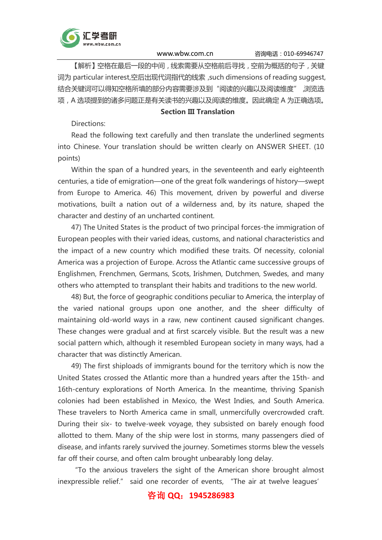

【解析】空格在最后一段的中间,线索需要从空格前后寻找,空前为概括的句子,关键 词为 particular interest,空后出现代词指代的线索,such dimensions of reading suggest, 结合关键词可以得知空格所填的部分内容需要涉及到"阅读的兴趣以及阅读维度", 浏览选 项,A 选项提到的诸多问题正是有关读书的兴趣以及阅读的维度。因此确定 A 为正确选项。

#### Section III Translation

Directions:

Read the following text carefully and then translate the underlined segments into Chinese. Your translation should be written clearly on ANSWER SHEET. (10 points)

Within the span of a hundred years, in the seventeenth and early eighteenth centuries, a tide of emigration—one of the great folk wanderings of history—swept from Europe to America. 46) This movement, driven by powerful and diverse motivations, built a nation out of a wilderness and, by its nature, shaped the character and destiny of an uncharted continent.

47) The United States is the product of two principal forces-the immigration of European peoples with their varied ideas, customs, and national characteristics and the impact of a new country which modified these traits. Of necessity, colonial America was a projection of Europe. Across the Atlantic came successive groups of Englishmen, Frenchmen, Germans, Scots, Irishmen, Dutchmen, Swedes, and many others who attempted to transplant their habits and traditions to the new world.

48) But, the force of geographic conditions peculiar to America, the interplay of the varied national groups upon one another, and the sheer difficulty of maintaining old-world ways in a raw, new continent caused significant changes. These changes were gradual and at first scarcely visible. But the result was a new social pattern which, although it resembled European society in many ways, had a character that was distinctly American.

49) The first shiploads of immigrants bound for the territory which is now the United States crossed the Atlantic more than a hundred years after the 15th- and 16th-century explorations of North America. In the meantime, thriving Spanish colonies had been established in Mexico, the West Indies, and South America. These travelers to North America came in small, unmercifully overcrowded craft. During their six- to twelve-week voyage, they subsisted on barely enough food allotted to them. Many of the ship were lost in storms, many passengers died of disease, and infants rarely survived the journey. Sometimes storms blew the vessels far off their course, and often calm brought unbearably long delay.

"To the anxious travelers the sight of the American shore brought almost inexpressible relief." said one recorder of events, "The air at twelve leagues'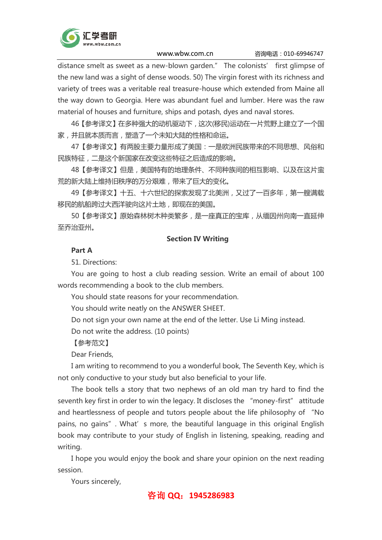

distance smelt as sweet as a new-blown garden." The colonists' first glimpse of the new land was a sight of dense woods. 50) The virgin forest with its richness and variety of trees was a veritable real treasure-house which extended from Maine all the way down to Georgia. Here was abundant fuel and lumber. Here was the raw material of houses and furniture, ships and potash, dyes and naval stores.

46【参考译文】在多种强大的动机驱动下,这次(移民)运动在一片荒野上建立了一个国 家,并且就本质而言,塑造了一个未知大陆的性格和命运。

47【参考译文】有两股主要力量形成了美国:一是欧洲民族带来的不同思想、风俗和 民族特征,二是这个新国家在改变这些特征之后造成的影响。

48【参考译文】但是,美国特有的地理条件、不同种族间的相互影响、以及在这片蛮 荒的新大陆上维持旧秩序的万分艰难,带来了巨大的变化。

49【参考译文】十五、十六世纪的探索发现了北美洲,又过了一百多年,第一艘满载 移民的航船跨过大西洋驶向这片土地,即现在的美国。

50【参考译文】原始森林树木种类繁多,是一座真正的宝库,从缅因州向南一直延伸 至乔治亚州。

#### Section IV Writing

#### Part A

51. Directions:

You are going to host a club reading session. Write an email of about 100 words recommending a book to the club members.

You should state reasons for your recommendation.

You should write neatly on the ANSWER SHEET.

Do not sign your own name at the end of the letter. Use Li Ming instead.

Do not write the address. (10 points)

【参考范文】

Dear Friends,

I am writing to recommend to you a wonderful book, The Seventh Key, which is not only conductive to your study but also beneficial to your life.

The book tells a story that two nephews of an old man try hard to find the seventh key first in order to win the legacy. It discloses the "money-first" attitude and heartlessness of people and tutors people about the life philosophy of "No pains, no qains". What's more, the beautiful language in this original English book may contribute to your study of English in listening, speaking, reading and writing.

I hope you would enjoy the book and share your opinion on the next reading session.

Yours sincerely,

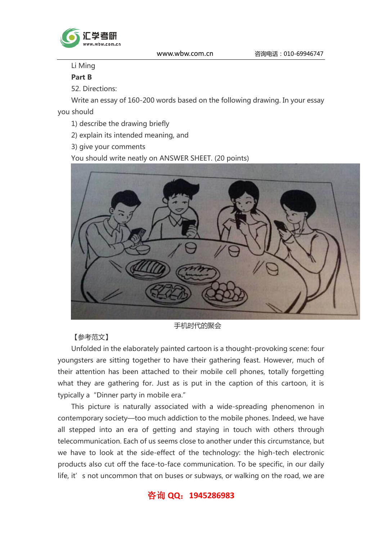

# Li Ming

# Part B

52. Directions:

Write an essay of 160-200 words based on the following drawing. In your essay

you should

- 1) describe the drawing briefly
- 2) explain its intended meaning, and
- 3) give your comments

You should write neatly on ANSWER SHEET. (20 points)



手机时代的聚会

## 【参考范文】

Unfolded in the elaborately painted cartoon is a thought-provoking scene: four youngsters are sitting together to have their gathering feast. However, much of their attention has been attached to their mobile cell phones, totally forgetting what they are gathering for. Just as is put in the caption of this cartoon, it is typically a"Dinner party in mobile era."

This picture is naturally associated with a wide-spreading phenomenon in contemporary society—too much addiction to the mobile phones. Indeed, we have all stepped into an era of getting and staying in touch with others through telecommunication. Each of us seems close to another under this circumstance, but we have to look at the side-effect of the technology: the high-tech electronic products also cut off the face-to-face communication. To be specific, in our daily life, it' s not uncommon that on buses or subways, or walking on the road, we are